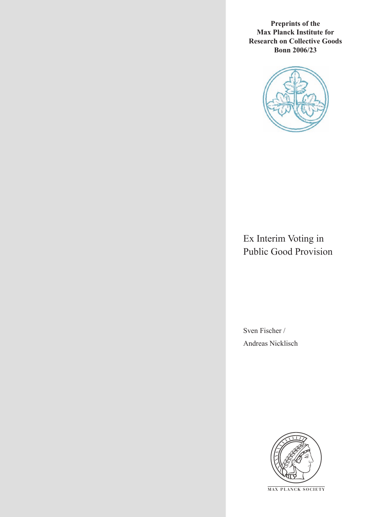**Preprints of the Max Planck Institute for Research on Collective Goods Bonn 2006/23**



## Ex Interim Voting in Public Good Provision

Sven Fischer / Andreas Nicklisch



**M AX P L A N C K S O C I E T Y**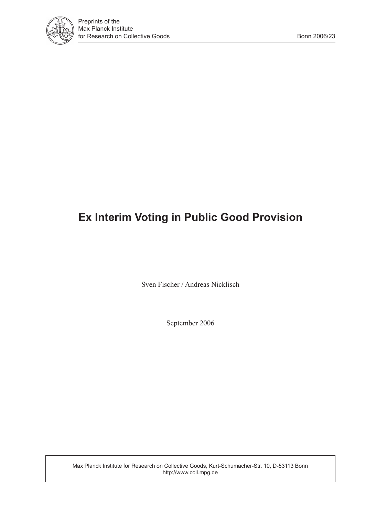

# **Ex Interim Voting in Public Good Provision**

Sven Fischer / Andreas Nicklisch

September 2006

Max Planck Institute for Research on Collective Goods, Kurt-Schumacher-Str. 10, D-53113 Bonn http://www.coll.mpg.de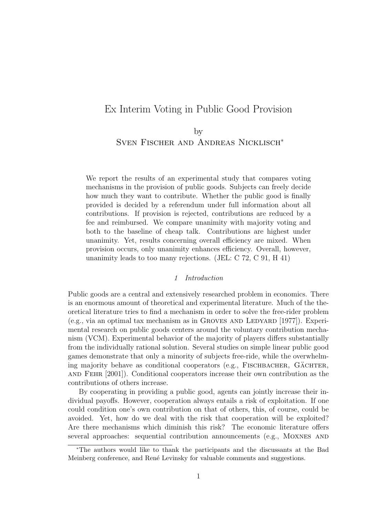## Ex Interim Voting in Public Good Provision

## by Sven Fischer and Andreas Nicklisch<sup>∗</sup>

We report the results of an experimental study that compares voting mechanisms in the provision of public goods. Subjects can freely decide how much they want to contribute. Whether the public good is finally provided is decided by a referendum under full information about all contributions. If provision is rejected, contributions are reduced by a fee and reimbursed. We compare unanimity with majority voting and both to the baseline of cheap talk. Contributions are highest under unanimity. Yet, results concerning overall efficiency are mixed. When provision occurs, only unanimity enhances efficiency. Overall, however, unanimity leads to too many rejections. (JEL: C 72, C 91, H 41)

#### 1 Introduction

Public goods are a central and extensively researched problem in economics. There is an enormous amount of theoretical and experimental literature. Much of the theoretical literature tries to find a mechanism in order to solve the free-rider problem  $(e.g., via an optimal tax mechanism as in GROVES AND LEDYARD [1977]).$  Experimental research on public goods centers around the voluntary contribution mechanism (VCM). Experimental behavior of the majority of players differs substantially from the individually rational solution. Several studies on simple linear public good games demonstrate that only a minority of subjects free-ride, while the overwhelming majority behave as conditional cooperators (e.g., FISCHBACHER, GÄCHTER, and Fehr [2001]). Conditional cooperators increase their own contribution as the contributions of others increase.

By cooperating in providing a public good, agents can jointly increase their individual payoffs. However, cooperation always entails a risk of exploitation. If one could condition one's own contribution on that of others, this, of course, could be avoided. Yet, how do we deal with the risk that cooperation will be exploited? Are there mechanisms which diminish this risk? The economic literature offers several approaches: sequential contribution announcements (e.g., Moxnes and

<sup>∗</sup>The authors would like to thank the participants and the discussants at the Bad Meinberg conference, and René Levinsky for valuable comments and suggestions.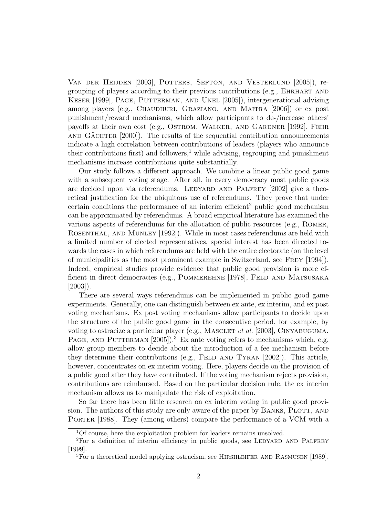Van der Heijden [2003], Potters, Sefton, and Vesterlund [2005]), regrouping of players according to their previous contributions (e.g., Ehrhart and KESER [1999], PAGE, PUTTERMAN, AND UNEL [2005]), intergenerational advising among players (e.g., CHAUDHURI, GRAZIANO, AND MAITRA [2006]) or ex post punishment/reward mechanisms, which allow participants to de-/increase others' payoffs at their own cost (e.g., OSTROM, WALKER, AND GARDNER [1992], FEHR AND GACHTER  $[2000]$ . The results of the sequential contribution announcements indicate a high correlation between contributions of leaders (players who announce their contributions first) and followers,<sup>1</sup> while advising, regrouping and punishment mechanisms increase contributions quite substantially.

Our study follows a different approach. We combine a linear public good game with a subsequent voting stage. After all, in every democracy most public goods are decided upon via referendums. LEDYARD AND PALFREY [2002] give a theoretical justification for the ubiquitous use of referendums. They prove that under certain conditions the performance of an interim efficient<sup>2</sup> public good mechanism can be approximated by referendums. A broad empirical literature has examined the various aspects of referendums for the allocation of public resources (e.g., Romer, ROSENTHAL, AND MUNLEY [1992]). While in most cases referendums are held with a limited number of elected representatives, special interest has been directed towards the cases in which referendums are held with the entire electorate (on the level of municipalities as the most prominent example in Switzerland, see Frey [1994]). Indeed, empirical studies provide evidence that public good provision is more efficient in direct democracies (e.g., POMMEREHNE [1978], FELD AND MATSUSAKA [2003]).

There are several ways referendums can be implemented in public good game experiments. Generally, one can distinguish between ex ante, ex interim, and ex post voting mechanisms. Ex post voting mechanisms allow participants to decide upon the structure of the public good game in the consecutive period, for example, by voting to ostracize a particular player (e.g., MASCLET *et al.* [2003], CINYABUGUMA, PAGE, AND PUTTERMAN [2005]).<sup>3</sup> Ex ante voting refers to mechanisms which, e.g. allow group members to decide about the introduction of a fee mechanism before they determine their contributions (e.g., FELD AND TYRAN [2002]). This article, however, concentrates on ex interim voting. Here, players decide on the provision of a public good after they have contributed. If the voting mechanism rejects provision, contributions are reimbursed. Based on the particular decision rule, the ex interim mechanism allows us to manipulate the risk of exploitation.

So far there has been little research on ex interim voting in public good provision. The authors of this study are only aware of the paper by BANKS, PLOTT, AND PORTER [1988]. They (among others) compare the performance of a VCM with a

<sup>1</sup>Of course, here the exploitation problem for leaders remains unsolved.

<sup>&</sup>lt;sup>2</sup>For a definition of interim efficiency in public goods, see LEDYARD AND PALFREY [1999].

<sup>3</sup>For a theoretical model applying ostracism, see Hirshleifer and Rasmusen [1989].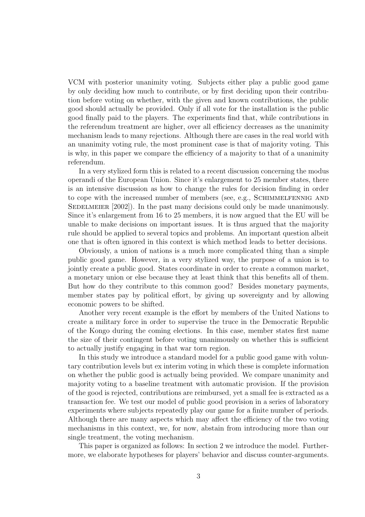VCM with posterior unanimity voting. Subjects either play a public good game by only deciding how much to contribute, or by first deciding upon their contribution before voting on whether, with the given and known contributions, the public good should actually be provided. Only if all vote for the installation is the public good finally paid to the players. The experiments find that, while contributions in the referendum treatment are higher, over all efficiency decreases as the unanimity mechanism leads to many rejections. Although there are cases in the real world with an unanimity voting rule, the most prominent case is that of majority voting. This is why, in this paper we compare the efficiency of a majority to that of a unanimity referendum.

In a very stylized form this is related to a recent discussion concerning the modus operandi of the European Union. Since it's enlargement to 25 member states, there is an intensive discussion as how to change the rules for decision finding in order to cope with the increased number of members (see, e.g., SCHIMMELFENNIG AND SEDELMEIER  $[2002]$ ). In the past many decisions could only be made unanimously. Since it's enlargement from 16 to 25 members, it is now argued that the EU will be unable to make decisions on important issues. It is thus argued that the majority rule should be applied to several topics and problems. An important question albeit one that is often ignored in this context is which method leads to better decisions.

Obviously, a union of nations is a much more complicated thing than a simple public good game. However, in a very stylized way, the purpose of a union is to jointly create a public good. States coordinate in order to create a common market, a monetary union or else because they at least think that this benefits all of them. But how do they contribute to this common good? Besides monetary payments, member states pay by political effort, by giving up sovereignty and by allowing economic powers to be shifted.

Another very recent example is the effort by members of the United Nations to create a military force in order to supervise the truce in the Democratic Republic of the Kongo during the coming elections. In this case, member states first name the size of their contingent before voting unanimously on whether this is sufficient to actually justify engaging in that war torn region.

In this study we introduce a standard model for a public good game with voluntary contribution levels but ex interim voting in which these is complete information on whether the public good is actually being provided. We compare unanimity and majority voting to a baseline treatment with automatic provision. If the provision of the good is rejected, contributions are reimbursed, yet a small fee is extracted as a transaction fee. We test our model of public good provision in a series of laboratory experiments where subjects repeatedly play our game for a finite number of periods. Although there are many aspects which may affect the efficiency of the two voting mechanisms in this context, we, for now, abstain from introducing more than our single treatment, the voting mechanism.

This paper is organized as follows: In section 2 we introduce the model. Furthermore, we elaborate hypotheses for players' behavior and discuss counter-arguments.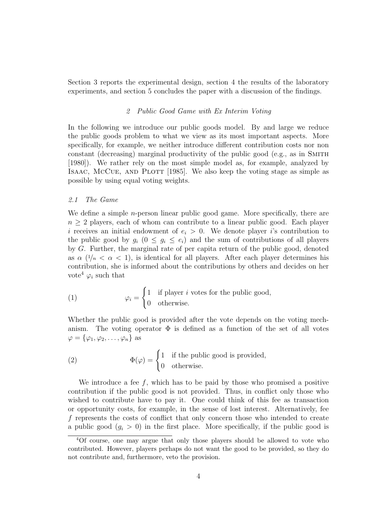Section 3 reports the experimental design, section 4 the results of the laboratory experiments, and section 5 concludes the paper with a discussion of the findings.

#### 2 Public Good Game with Ex Interim Voting

In the following we introduce our public goods model. By and large we reduce the public goods problem to what we view as its most important aspects. More specifically, for example, we neither introduce different contribution costs nor non constant (decreasing) marginal productivity of the public good (e.g., as in SMITH [1980]). We rather rely on the most simple model as, for example, analyzed by ISAAC, MCCUE, AND PLOTT [1985]. We also keep the voting stage as simple as possible by using equal voting weights.

#### 2.1 The Game

We define a simple *n*-person linear public good game. More specifically, there are  $n \geq 2$  players, each of whom can contribute to a linear public good. Each player i receives an initial endowment of  $e_i > 0$ . We denote player is contribution to the public good by  $g_i$   $(0 \leq g_i \leq e_i)$  and the sum of contributions of all players by G. Further, the marginal rate of per capita return of the public good, denoted as  $\alpha$  ( $1/n < \alpha < 1$ ), is identical for all players. After each player determines his contribution, she is informed about the contributions by others and decides on her vote<sup>4</sup>  $\varphi_i$  such that

(1) 
$$
\varphi_i = \begin{cases} 1 & \text{if player } i \text{ votes for the public good,} \\ 0 & \text{otherwise.} \end{cases}
$$

Whether the public good is provided after the vote depends on the voting mechanism. The voting operator  $\Phi$  is defined as a function of the set of all votes  $\varphi = {\varphi_1, \varphi_2, \ldots, \varphi_n}$  as

(2) 
$$
\Phi(\varphi) = \begin{cases} 1 & \text{if the public good is provided,} \\ 0 & \text{otherwise.} \end{cases}
$$

We introduce a fee  $f$ , which has to be paid by those who promised a positive contribution if the public good is not provided. Thus, in conflict only those who wished to contribute have to pay it. One could think of this fee as transaction or opportunity costs, for example, in the sense of lost interest. Alternatively, fee f represents the costs of conflict that only concern those who intended to create a public good  $(g_i > 0)$  in the first place. More specifically, if the public good is

<sup>4</sup>Of course, one may argue that only those players should be allowed to vote who contributed. However, players perhaps do not want the good to be provided, so they do not contribute and, furthermore, veto the provision.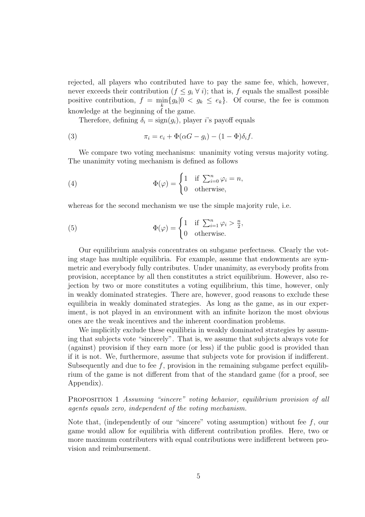rejected, all players who contributed have to pay the same fee, which, however, never exceeds their contribution  $(f \leq g_i \forall i)$ ; that is, f equals the smallest possible positive contribution,  $f = \min_k \{g_k | 0 \langle g_k \rangle \leq e_k\}$ . Of course, the fee is common knowledge at the beginning of the game.

Therefore, defining  $\delta_i = \text{sign}(q_i)$ , player i's payoff equals

(3) 
$$
\pi_i = e_i + \Phi(\alpha G - g_i) - (1 - \Phi)\delta_i f.
$$

We compare two voting mechanisms: unanimity voting versus majority voting. The unanimity voting mechanism is defined as follows

(4) 
$$
\Phi(\varphi) = \begin{cases} 1 & \text{if } \sum_{i=0}^{n} \varphi_i = n, \\ 0 & \text{otherwise,} \end{cases}
$$

whereas for the second mechanism we use the simple majority rule, i.e.

(5) 
$$
\Phi(\varphi) = \begin{cases} 1 & \text{if } \sum_{i=1}^{n} \varphi_i > \frac{n}{2}, \\ 0 & \text{otherwise.} \end{cases}
$$

Our equilibrium analysis concentrates on subgame perfectness. Clearly the voting stage has multiple equilibria. For example, assume that endowments are symmetric and everybody fully contributes. Under unanimity, as everybody profits from provision, acceptance by all then constitutes a strict equilibrium. However, also rejection by two or more constitutes a voting equilibrium, this time, however, only in weakly dominated strategies. There are, however, good reasons to exclude these equilibria in weakly dominated strategies. As long as the game, as in our experiment, is not played in an environment with an infinite horizon the most obvious ones are the weak incentives and the inherent coordination problems.

We implicitly exclude these equilibria in weakly dominated strategies by assuming that subjects vote "sincerely". That is, we assume that subjects always vote for (against) provision if they earn more (or less) if the public good is provided than if it is not. We, furthermore, assume that subjects vote for provision if indifferent. Subsequently and due to fee  $f$ , provision in the remaining subgame perfect equilibrium of the game is not different from that of the standard game (for a proof, see Appendix).

PROPOSITION 1 Assuming "sincere" voting behavior, equilibrium provision of all agents equals zero, independent of the voting mechanism.

Note that, (independently of our "sincere" voting assumption) without fee  $f$ , our game would allow for equilibria with different contribution profiles. Here, two or more maximum contributers with equal contributions were indifferent between provision and reimbursement.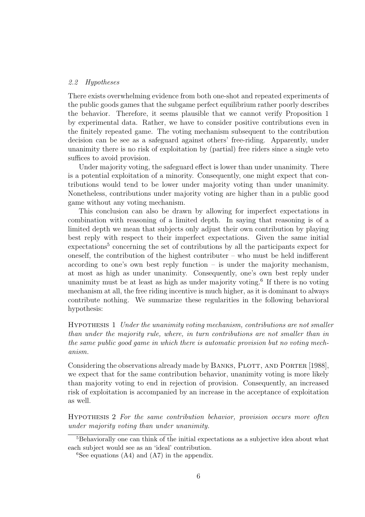#### 2.2 Hypotheses

There exists overwhelming evidence from both one-shot and repeated experiments of the public goods games that the subgame perfect equilibrium rather poorly describes the behavior. Therefore, it seems plausible that we cannot verify Proposition 1 by experimental data. Rather, we have to consider positive contributions even in the finitely repeated game. The voting mechanism subsequent to the contribution decision can be see as a safeguard against others' free-riding. Apparently, under unanimity there is no risk of exploitation by (partial) free riders since a single veto suffices to avoid provision.

Under majority voting, the safeguard effect is lower than under unanimity. There is a potential exploitation of a minority. Consequently, one might expect that contributions would tend to be lower under majority voting than under unanimity. Nonetheless, contributions under majority voting are higher than in a public good game without any voting mechanism.

This conclusion can also be drawn by allowing for imperfect expectations in combination with reasoning of a limited depth. In saying that reasoning is of a limited depth we mean that subjects only adjust their own contribution by playing best reply with respect to their imperfect expectations. Given the same initial expectations<sup>5</sup> concerning the set of contributions by all the participants expect for oneself, the contribution of the highest contributer – who must be held indifferent according to one's own best reply function – is under the majority mechanism, at most as high as under unanimity. Consequently, one's own best reply under unanimity must be at least as high as under majority voting.<sup>6</sup> If there is no voting mechanism at all, the free riding incentive is much higher, as it is dominant to always contribute nothing. We summarize these regularities in the following behavioral hypothesis:

Hypothesis 1 Under the unanimity voting mechanism, contributions are not smaller than under the majority rule, where, in turn contributions are not smaller than in the same public good game in which there is automatic provision but no voting mechanism.

Considering the observations already made by BANKS, PLOTT, AND PORTER [1988], we expect that for the same contribution behavior, unanimity voting is more likely than majority voting to end in rejection of provision. Consequently, an increased risk of exploitation is accompanied by an increase in the acceptance of exploitation as well.

Hypothesis 2 For the same contribution behavior, provision occurs more often under majority voting than under unanimity.

<sup>5</sup>Behaviorally one can think of the initial expectations as a subjective idea about what each subject would see as an 'ideal' contribution.

 ${}^6$ See equations (A4) and (A7) in the appendix.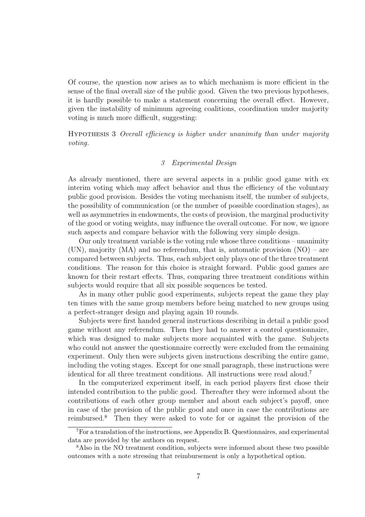Of course, the question now arises as to which mechanism is more efficient in the sense of the final overall size of the public good. Given the two previous hypotheses, it is hardly possible to make a statement concerning the overall effect. However, given the instability of minimum agreeing coalitions, coordination under majority voting is much more difficult, suggesting:

Hypothesis 3 Overall efficiency is higher under unanimity than under majority voting.

#### 3 Experimental Design

As already mentioned, there are several aspects in a public good game with ex interim voting which may affect behavior and thus the efficiency of the voluntary public good provision. Besides the voting mechanism itself, the number of subjects, the possibility of communication (or the number of possible coordination stages), as well as asymmetries in endowments, the costs of provision, the marginal productivity of the good or voting weights, may influence the overall outcome. For now, we ignore such aspects and compare behavior with the following very simple design.

Our only treatment variable is the voting rule whose three conditions – unanimity (UN), majority (MA) and no referendum, that is, automatic provision (NO) – are compared between subjects. Thus, each subject only plays one of the three treatment conditions. The reason for this choice is straight forward. Public good games are known for their restart effects. Thus, comparing three treatment conditions within subjects would require that all six possible sequences be tested.

As in many other public good experiments, subjects repeat the game they play ten times with the same group members before being matched to new groups using a perfect-stranger design and playing again 10 rounds.

Subjects were first handed general instructions describing in detail a public good game without any referendum. Then they had to answer a control questionnaire, which was designed to make subjects more acquainted with the game. Subjects who could not answer the questionnaire correctly were excluded from the remaining experiment. Only then were subjects given instructions describing the entire game, including the voting stages. Except for one small paragraph, these instructions were identical for all three treatment conditions. All instructions were read aloud.<sup>7</sup>

In the computerized experiment itself, in each period players first chose their intended contribution to the public good. Thereafter they were informed about the contributions of each other group member and about each subject's payoff, once in case of the provision of the public good and once in case the contributions are reimbursed.<sup>8</sup> Then they were asked to vote for or against the provision of the

<sup>7</sup>For a translation of the instructions, see Appendix B. Questionnaires, and experimental data are provided by the authors on request.

<sup>8</sup>Also in the NO treatment condition, subjects were informed about these two possible outcomes with a note stressing that reimbursement is only a hypothetical option.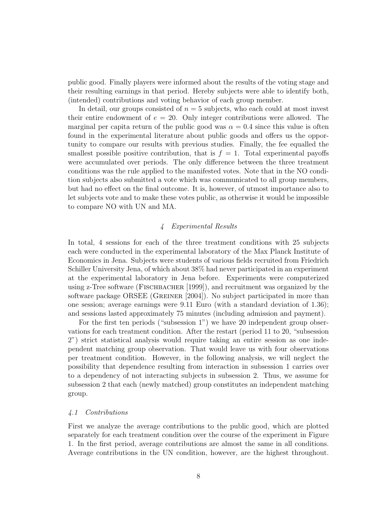public good. Finally players were informed about the results of the voting stage and their resulting earnings in that period. Hereby subjects were able to identify both, (intended) contributions and voting behavior of each group member.

In detail, our groups consisted of  $n = 5$  subjects, who each could at most invest their entire endowment of  $e = 20$ . Only integer contributions were allowed. The marginal per capita return of the public good was  $\alpha = 0.4$  since this value is often found in the experimental literature about public goods and offers us the opportunity to compare our results with previous studies. Finally, the fee equalled the smallest possible positive contribution, that is  $f = 1$ . Total experimental payoffs were accumulated over periods. The only difference between the three treatment conditions was the rule applied to the manifested votes. Note that in the NO condition subjects also submitted a vote which was communicated to all group members, but had no effect on the final outcome. It is, however, of utmost importance also to let subjects vote and to make these votes public, as otherwise it would be impossible to compare NO with UN and MA.

#### 4 Experimental Results

In total, 4 sessions for each of the three treatment conditions with 25 subjects each were conducted in the experimental laboratory of the Max Planck Institute of Economics in Jena. Subjects were students of various fields recruited from Friedrich Schiller University Jena, of which about 38% had never participated in an experiment at the experimental laboratory in Jena before. Experiments were computerized using z-Tree software (FISCHBACHER [1999]), and recruitment was organized by the software package ORSEE (GREINER [2004]). No subject participated in more than one session; average earnings were 9.11 Euro (with a standard deviation of 1.36); and sessions lasted approximately 75 minutes (including admission and payment).

For the first ten periods ("subsession 1") we have 20 independent group observations for each treatment condition. After the restart (period 11 to 20, "subsession 2") strict statistical analysis would require taking an entire session as one independent matching group observation. That would leave us with four observations per treatment condition. However, in the following analysis, we will neglect the possibility that dependence resulting from interaction in subsession 1 carries over to a dependency of not interacting subjects in subsession 2. Thus, we assume for subsession 2 that each (newly matched) group constitutes an independent matching group.

#### 4.1 Contributions

First we analyze the average contributions to the public good, which are plotted separately for each treatment condition over the course of the experiment in Figure 1. In the first period, average contributions are almost the same in all conditions. Average contributions in the UN condition, however, are the highest throughout.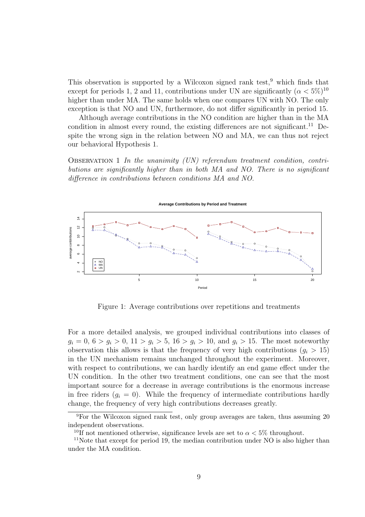This observation is supported by a Wilcoxon signed rank test,  $9$  which finds that except for periods 1, 2 and 11, contributions under UN are significantly  $(\alpha < 5\%)^{10}$ higher than under MA. The same holds when one compares UN with NO. The only exception is that NO and UN, furthermore, do not differ significantly in period 15.

Although average contributions in the NO condition are higher than in the MA condition in almost every round, the existing differences are not significant.<sup>11</sup> Despite the wrong sign in the relation between NO and MA, we can thus not reject our behavioral Hypothesis 1.

OBSERVATION 1 In the unanimity  $(UN)$  referendum treatment condition, contributions are significantly higher than in both MA and NO. There is no significant difference in contributions between conditions MA and NO.



Figure 1: Average contributions over repetitions and treatments

For a more detailed analysis, we grouped individual contributions into classes of  $g_i = 0, 6 > g_i > 0, 11 > g_i > 5, 16 > g_i > 10, \text{ and } g_i > 15.$  The most noteworthy observation this allows is that the frequency of very high contributions  $(q_i > 15)$ in the UN mechanism remains unchanged throughout the experiment. Moreover, with respect to contributions, we can hardly identify an end game effect under the UN condition. In the other two treatment conditions, one can see that the most important source for a decrease in average contributions is the enormous increase in free riders  $(q_i = 0)$ . While the frequency of intermediate contributions hardly change, the frequency of very high contributions decreases greatly.

<sup>9</sup>For the Wilcoxon signed rank test, only group averages are taken, thus assuming 20 independent observations.

<sup>&</sup>lt;sup>10</sup>If not mentioned otherwise, significance levels are set to  $\alpha < 5\%$  throughout.

<sup>&</sup>lt;sup>11</sup>Note that except for period 19, the median contribution under NO is also higher than under the MA condition.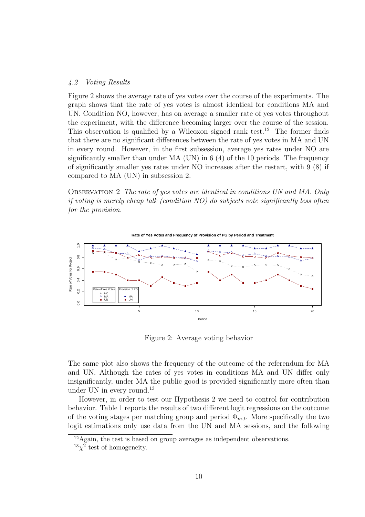#### 4.2 Voting Results

Figure 2 shows the average rate of yes votes over the course of the experiments. The graph shows that the rate of yes votes is almost identical for conditions MA and UN. Condition NO, however, has on average a smaller rate of yes votes throughout the experiment, with the difference becoming larger over the course of the session. This observation is qualified by a Wilcoxon signed rank test.<sup>12</sup> The former finds that there are no significant differences between the rate of yes votes in MA and UN in every round. However, in the first subsession, average yes rates under NO are significantly smaller than under  $MA$  (UN) in 6 (4) of the 10 periods. The frequency of significantly smaller yes rates under NO increases after the restart, with 9 (8) if compared to MA (UN) in subsession 2.

Observation 2 The rate of yes votes are identical in conditions UN and MA. Only if voting is merely cheap talk (condition NO) do subjects vote significantly less often for the provision.



Figure 2: Average voting behavior

The same plot also shows the frequency of the outcome of the referendum for MA and UN. Although the rates of yes votes in conditions MA and UN differ only insignificantly, under MA the public good is provided significantly more often than under UN in every round.<sup>13</sup>

However, in order to test our Hypothesis 2 we need to control for contribution behavior. Table 1 reports the results of two different logit regressions on the outcome of the voting stages per matching group and period  $\Phi_{m,t}$ . More specifically the two logit estimations only use data from the UN and MA sessions, and the following

 $12$ Again, the test is based on group averages as independent observations.

 $13\chi^2$  test of homogeneity.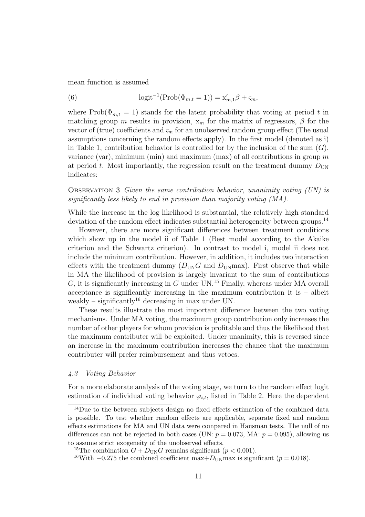mean function is assumed

(6) 
$$
\text{logit}^{-1}(\text{Prob}(\Phi_{m,t}=1)) = \mathbf{x}'_{m,1}\beta + \zeta_m,
$$

where Prob( $\Phi_{m,t} = 1$ ) stands for the latent probability that voting at period t in matching group m results in provision,  $x_m$  for the matrix of regressors,  $\beta$  for the vector of (true) coefficients and  $\varsigma_m$  for an unobserved random group effect (The usual assumptions concerning the random effects apply). In the first model (denoted as i) in Table 1, contribution behavior is controlled for by the inclusion of the sum  $(G)$ , variance (var), minimum (min) and maximum (max) of all contributions in group  $m$ at period t. Most importantly, the regression result on the treatment dummy  $D_{UN}$ indicates:

#### OBSERVATION 3 Given the same contribution behavior, unanimity voting  $(UN)$  is significantly less likely to end in provision than majority voting (MA).

While the increase in the log likelihood is substantial, the relatively high standard deviation of the random effect indicates substantial heterogeneity between groups.<sup>14</sup>

However, there are more significant differences between treatment conditions which show up in the model ii of Table 1 (Best model according to the Akaike criterion and the Schwartz criterion). In contrast to model i, model ii does not include the minimum contribution. However, in addition, it includes two interaction effects with the treatment dummy  $(D_{UN}G \text{ and } D_{UN} \text{max})$ . First observe that while in MA the likelihood of provision is largely invariant to the sum of contributions G, it is significantly increasing in G under UN.<sup>15</sup> Finally, whereas under MA overall acceptance is significantly increasing in the maximum contribution it is  $-$  albeit weakly – significantly<sup>16</sup> decreasing in max under UN.

These results illustrate the most important difference between the two voting mechanisms. Under MA voting, the maximum group contribution only increases the number of other players for whom provision is profitable and thus the likelihood that the maximum contributer will be exploited. Under unanimity, this is reversed since an increase in the maximum contribution increases the chance that the maximum contributer will prefer reimbursement and thus vetoes.

#### 4.3 Voting Behavior

For a more elaborate analysis of the voting stage, we turn to the random effect logit estimation of individual voting behavior  $\varphi_{i,t}$ , listed in Table 2. Here the dependent

<sup>&</sup>lt;sup>14</sup>Due to the between subjects design no fixed effects estimation of the combined data is possible. To test whether random effects are applicable, separate fixed and random effects estimations for MA and UN data were compared in Hausman tests. The null of no differences can not be rejected in both cases (UN:  $p = 0.073$ , MA:  $p = 0.095$ ), allowing us to assume strict exogeneity of the unobserved effects.

<sup>&</sup>lt;sup>15</sup>The combination  $G + D_{UN}G$  remains significant ( $p < 0.001$ ).

<sup>&</sup>lt;sup>16</sup>With −0.275 the combined coefficient max+ $D_{\text{UN}}$ max is significant ( $p = 0.018$ ).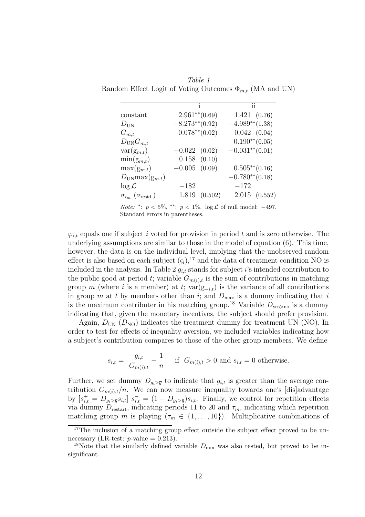|                                                     |                    | ij                  |  |
|-----------------------------------------------------|--------------------|---------------------|--|
| constant                                            | $2.961^{**}(0.69)$ | 1.421(0.76)         |  |
| $D_{\text{UN}}$                                     | $-8.273**$ (0.92)  | $-4.989**$ (1.38)   |  |
| $G_{m,t}$                                           | $0.078**$ (0.02)   | $-0.042(0.04)$      |  |
| $D_{\text{UN}}G_{m,t}$                              |                    | $0.190^{**}(0.05)$  |  |
| $var(g_{m,t})$                                      | $-0.022(0.02)$     | $-0.031^{**}(0.01)$ |  |
| $\min(g_{m,t})$                                     | $0.158$ $(0.10)$   |                     |  |
| $\max(g_{m,t})$                                     | $-0.005$ $(0.09)$  | $0.505**$ (0.16)    |  |
| $D_{\text{UN}} \max(\mathbf{g}_{m,t})$              |                    | $-0.780^{**}(0.18)$ |  |
| $\log \mathcal{L}$                                  | $-182$             | $-172$              |  |
| $\sigma_{\varsigma_m}$ ( $\sigma_{\text{resid.}}$ ) | 1.819<br>(0.502)   | 2.015(0.552)        |  |

Table 1 Random Effect Logit of Voting Outcomes  $\Phi_{m,t}$  (MA and UN)

*Note:* \*:  $p < 5\%,$  \*\*:  $p < 1\%$ . log £ of null model: −497. Standard errors in parentheses.

 $\varphi_{i,t}$  equals one if subject i voted for provision in period t and is zero otherwise. The underlying assumptions are similar to those in the model of equation (6). This time, however, the data is on the individual level, implying that the unobserved random effect is also based on each subject  $(\varsigma_i)$ ,<sup>17</sup> and the data of treatment condition NO is included in the analysis. In Table 2  $g_{i,t}$  stands for subject i's intended contribution to the public good at period t; variable  $G_{m(i),t}$  is the sum of contributions in matching group m (where i is a member) at t; var $(g_{-i,t})$  is the variance of all contributions in group m at t by members other than i; and  $D_{\text{max}}$  is a dummy indicating that i is the maximum contributer in his matching group.<sup>18</sup> Variable  $D_{\text{ves}\geq\text{no}}$  is a dummy indicating that, given the monetary incentives, the subject should prefer provision.

Again,  $D_{\text{UN}}$  ( $D_{\text{NO}}$ ) indicates the treatment dummy for treatment UN (NO). In order to test for effects of inequality aversion, we included variables indicating how a subject's contribution compares to those of the other group members. We define

$$
s_{i,t} = \left| \frac{g_{i,t}}{G_{m(i),t}} - \frac{1}{n} \right| \quad \text{if} \quad G_{m(i),t} > 0 \text{ and } s_{i,t} = 0 \text{ otherwise.}
$$

Further, we set dummy  $D_{q_i>q_i}$  to indicate that  $g_{i,t}$  is greater than the average contribution  $G_{m(i),t}/n$ . We can now measure inequality towards one's [dis]advantage by  $[s_{i,t}^+ = D_{g_i > \overline{g}} s_{i,t}]$   $s_{i,t}^- = (1 - D_{g_i > \overline{g}}) s_{i,t}$ . Finally, we control for repetition effects via dummy  $D_{\text{restart}}$ , indicating periods 11 to 20 and  $\tau_m$ , indicating which repetition matching group m is playing  $(\tau_m \in \{1, \ldots, 10\})$ . Multiplicative combinations of

<sup>&</sup>lt;sup>17</sup>The inclusion of a matching group effect outside the subject effect proved to be unnecessary (LR-test:  $p$ -value = 0.213).

<sup>&</sup>lt;sup>18</sup>Note that the similarly defined variable  $D_{\min}$  was also tested, but proved to be insignificant.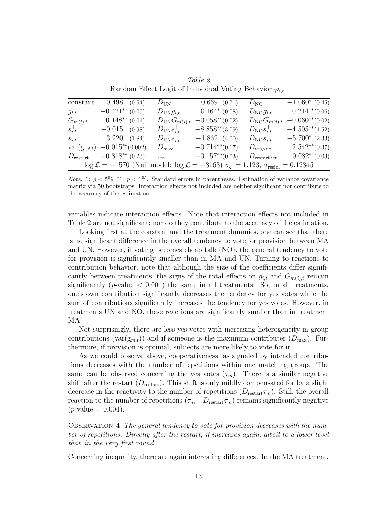| constant                                                                                                                          | $0.498$ $(0.54)$     |  | $D_{\text{UN}}$           | $0.669$ $(0.71)$  | $D_{\text{NO}}$             | $-1.060*(0.45)$   |  |  |
|-----------------------------------------------------------------------------------------------------------------------------------|----------------------|--|---------------------------|-------------------|-----------------------------|-------------------|--|--|
| $g_{i,t}$                                                                                                                         | $-0.421**$ (0.05)    |  | $D_{\text{UN}}g_{i,t}$    | $0.164^*$ (0.08)  | $D_{\text{NO}}g_{i,t}$      | $0.214**$ (0.06)  |  |  |
| $G_{m(i),t}$                                                                                                                      | $0.148**$ (0.01)     |  | $D_{\text{UN}}G_{m(i),t}$ | $-0.058**$ (0.02) | $D_{\text{NO}}G_{m(i),t}$   | $-0.060**$ (0.02) |  |  |
| $s_{i,t}^+$                                                                                                                       | $-0.015$ (0.98)      |  | $D_{\text{UN}}s_{i,t}^+$  | $-8.858**$ (3.09) | $D_{\text{NO}}s_{i,t}^+$    | $-4.505**$ (1.52) |  |  |
| $s_{i,t}^-$                                                                                                                       | 3.220(1.84)          |  | $D_{\text{UN}} s_{i,t}^-$ | $-1.862(4.00)$    | $D_{\text{NO}} s_{i,t}^-$   | $-5.700*(2.33)$   |  |  |
| $var(g_{-i,t})$                                                                                                                   | $-0.015^{**}(0.002)$ |  | $D_{\max}$                | $-0.714**$ (0.17) | $D_{\text{yes}>\text{no}}$  | $2.542**$ (0.37)  |  |  |
| $D_{\text{restart}}$                                                                                                              | $-0.818**$ (0.23)    |  | $\tau_m$                  | $-0.157**$ (0.03) | $D_{\text{restart}} \tau_m$ | $0.082^*$ (0.03)  |  |  |
| $\log \mathcal{L} = -1570$ (Null model: $\log \mathcal{L} = -3163$ ) $\sigma_{\rm{Si}} = 1.123$ , $\sigma_{\rm{resid}} = 0.12345$ |                      |  |                           |                   |                             |                   |  |  |

Table 2 Random Effect Logit of Individual Voting Behavior  $\varphi_{i,t}$ 

Note: \*:  $p < 5\%,$  \*\*:  $p < 1\%$ . Standard errors in parentheses. Estimation of variance covariance matrix via 50 bootstraps. Interaction effects not included are neither significant nor contribute to the accuracy of the estimation.

variables indicate interaction effects. Note that interaction effects not included in Table 2 are not significant; nor do they contribute to the accuracy of the estimation.

Looking first at the constant and the treatment dummies, one can see that there is no significant difference in the overall tendency to vote for provision between MA and UN. However, if voting becomes cheap talk (NO), the general tendency to vote for provision is significantly smaller than in MA and UN. Turning to reactions to contribution behavior, note that although the size of the coefficients differ significantly between treatments, the signs of the total effects on  $g_{i,t}$  and  $G_{m(i),t}$  remain significantly ( $p$ -value  $\lt$  0.001) the same in all treatments. So, in all treatments, one's own contribution significantly decreases the tendency for yes votes while the sum of contributions significantly increases the tendency for yes votes. However, in treatments UN and NO, these reactions are significantly smaller than in treatment MA.

Not surprisingly, there are less yes votes with increasing heterogeneity in group contributions (var $(g_{m,t})$ ) and if someone is the maximum contributer  $(D_{\text{max}})$ . Furthermore, if provision is optimal, subjects are more likely to vote for it.

As we could observe above, cooperativeness, as signaled by intended contributions decreases with the number of repetitions within one matching group. The same can be observed concerning the yes votes  $(\tau_m)$ . There is a similar negative shift after the restart  $(D_{\text{restart}})$ . This shift is only mildly compensated for by a slight decrease in the reactivity to the number of repetitions  $(D_{\text{restart}} \tau_m)$ . Still, the overall reaction to the number of repetitions  $(\tau_m + D_{\text{restart}} \tau_m)$  remains significantly negative  $(p\text{-value} = 0.004).$ 

OBSERVATION 4 The general tendency to vote for provision decreases with the number of repetitions. Directly after the restart, it increases again, albeit to a lower level than in the very first round.

Concerning inequality, there are again interesting differences. In the MA treatment,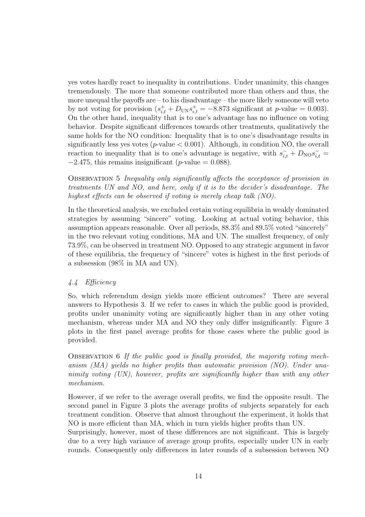yes votes hardly react to inequality in contributions. Under unanimity, this changes tremendously. The more that someone contributed more than others and thus, the more unequal the payoffs are – to his disadvantage – the more likely someone will veto by not voting for provision  $(s_{i,t}^+ + D_{UN}s_{i,t}^+ = -8.873$  significant at p-value = 0.003). On the other hand, inequality that is to one's advantage has no influence on voting behavior. Despite significant differences towards other treatments, qualitatively the same holds for the NO condition: Inequality that is to one's disadvantage results in significantly less yes votes ( $p$ -value  $< 0.001$ ). Although, in condition NO, the overall reaction to inequality that is to one's advantage is negative, with  $s_{i,t}^- + D_{\text{NO}} s_{i,t}^ -2.475$ , this remains insignificant (p-value = 0.088).

Observation 5 Inequality only significantly affects the acceptance of provision in treatments UN and NO, and here, only if it is to the decider's disadvantage. The highest effects can be observed if voting is merely cheap talk (NO).

In the theoretical analysis, we excluded certain voting equilibria in weakly dominated strategies by assuming "sincere" voting. Looking at actual voting behavior, this assumption appears reasonable. Over all periods, 88.3% and 89.5% voted "sincerely" in the two relevant voting conditions, MA and UN. The smallest frequency, of only 73.9%, can be observed in treatment NO. Opposed to any strategic argument in favor of these equilibria, the frequency of "sincere" votes is highest in the first periods of a subsession (98% in MA and UN).

#### 4.4 Efficiency

So, which referendum design yields more efficient outcomes? There are several answers to Hypothesis 3. If we refer to cases in which the public good is provided, profits under unanimity voting are significantly higher than in any other voting mechanism, whereas under MA and NO they only differ insignificantly. Figure 3 plots in the first panel average profits for those cases where the public good is provided.

Observation 6 If the public good is finally provided, the majority voting mechanism (MA) yields no higher profits than automatic provision (NO). Under unanimity voting (UN), however, profits are significantly higher than with any other mechanism.

However, if we refer to the average overall profits, we find the opposite result. The second panel in Figure 3 plots the average profits of subjects separately for each treatment condition. Observe that almost throughout the experiment, it holds that NO is more efficient than MA, which in turn yields higher profits than UN.

Surprisingly, however, most of these differences are not significant. This is largely due to a very high variance of average group profits, especially under UN in early rounds. Consequently only differences in later rounds of a subsession between NO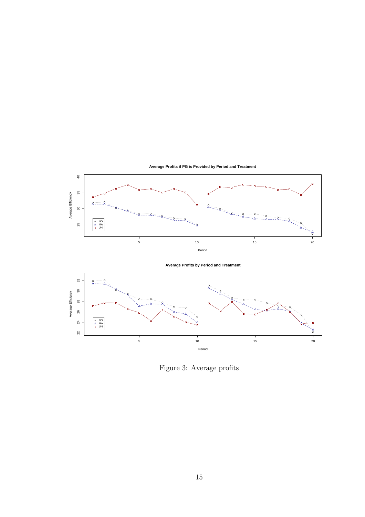

Figure 3: Average profits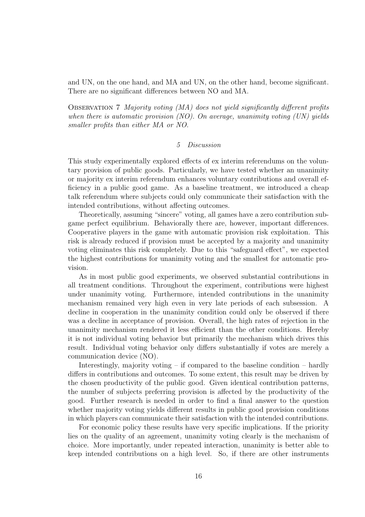and UN, on the one hand, and MA and UN, on the other hand, become significant. There are no significant differences between NO and MA.

OBSERVATION 7 Majority voting (MA) does not yield significantly different profits when there is automatic provision (NO). On average, unanimity voting (UN) yields smaller profits than either MA or NO.

#### 5 Discussion

This study experimentally explored effects of ex interim referendums on the voluntary provision of public goods. Particularly, we have tested whether an unanimity or majority ex interim referendum enhances voluntary contributions and overall efficiency in a public good game. As a baseline treatment, we introduced a cheap talk referendum where subjects could only communicate their satisfaction with the intended contributions, without affecting outcomes.

Theoretically, assuming "sincere" voting, all games have a zero contribution subgame perfect equilibrium. Behaviorally there are, however, important differences. Cooperative players in the game with automatic provision risk exploitation. This risk is already reduced if provision must be accepted by a majority and unanimity voting eliminates this risk completely. Due to this "safeguard effect", we expected the highest contributions for unanimity voting and the smallest for automatic provision.

As in most public good experiments, we observed substantial contributions in all treatment conditions. Throughout the experiment, contributions were highest under unanimity voting. Furthermore, intended contributions in the unanimity mechanism remained very high even in very late periods of each subsession. A decline in cooperation in the unanimity condition could only be observed if there was a decline in acceptance of provision. Overall, the high rates of rejection in the unanimity mechanism rendered it less efficient than the other conditions. Hereby it is not individual voting behavior but primarily the mechanism which drives this result. Individual voting behavior only differs substantially if votes are merely a communication device (NO).

Interestingly, majority voting – if compared to the baseline condition – hardly differs in contributions and outcomes. To some extent, this result may be driven by the chosen productivity of the public good. Given identical contribution patterns, the number of subjects preferring provision is affected by the productivity of the good. Further research is needed in order to find a final answer to the question whether majority voting yields different results in public good provision conditions in which players can communicate their satisfaction with the intended contributions.

For economic policy these results have very specific implications. If the priority lies on the quality of an agreement, unanimity voting clearly is the mechanism of choice. More importantly, under repeated interaction, unanimity is better able to keep intended contributions on a high level. So, if there are other instruments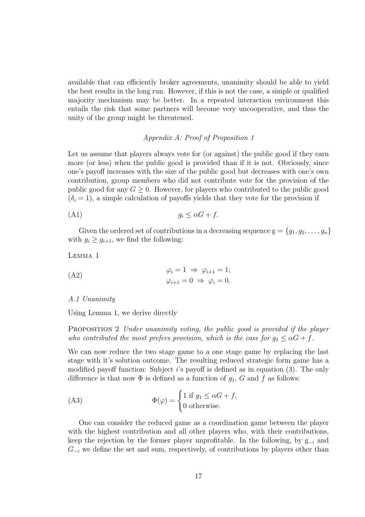available that can efficiently broker agreements, unanimity should be able to yield the best results in the long run. However, if this is not the case, a simple or qualified majority mechanism may be better. In a repeated interaction environment this entails the risk that some partners will become very uncooperative, and thus the unity of the group might be threatened.

#### Appendix A: Proof of Proposition 1

Let us assume that players always vote for (or against) the public good if they earn more (or less) when the public good is provided than if it is not. Obviously, since one's payoff increases with the size of the public good but decreases with one's own contribution, group members who did not contribute vote for the provision of the public good for any  $G \geq 0$ . However, for players who contributed to the public good  $(\delta_i = 1)$ , a simple calculation of payoffs yields that they vote for the provision if

$$
(A1) \t\t g_i \leq \alpha G + f.
$$

Given the ordered set of contributions in a decreasing sequence  $g = \{g_1, g_2, \ldots, g_n\}$ with  $g_i \ge g_{i+1}$ , we find the following:

$$
LEMMA\ 1
$$

(A2) 
$$
\varphi_i = 1 \Rightarrow \varphi_{i+1} = 1;
$$

$$
\varphi_{i+1} = 0 \Rightarrow \varphi_i = 0.
$$

#### A.1 Unanimity

Using Lemma 1, we derive directly

PROPOSITION 2 Under unanimity voting, the public good is provided if the player who contributed the most prefers provision, which is the case for  $g_1 \leq \alpha G + f$ .

We can now reduce the two stage game to a one stage game by replacing the last stage with it's solution outcome. The resulting reduced strategic form game has a modified payoff function: Subject *i*'s payoff is defined as in equation (3). The only difference is that now  $\Phi$  is defined as a function of  $g_1$ , G and f as follows:

(A3) 
$$
\Phi(\varphi) = \begin{cases} 1 \text{ if } g_1 \leq \alpha G + f, \\ 0 \text{ otherwise.} \end{cases}
$$

One can consider the reduced game as a coordination game between the player with the highest contribution and all other players who, with their contributions, keep the rejection by the former player unprofitable. In the following, by  $g_{-i}$  and  $G_{-i}$  we define the set and sum, respectively, of contributions by players other than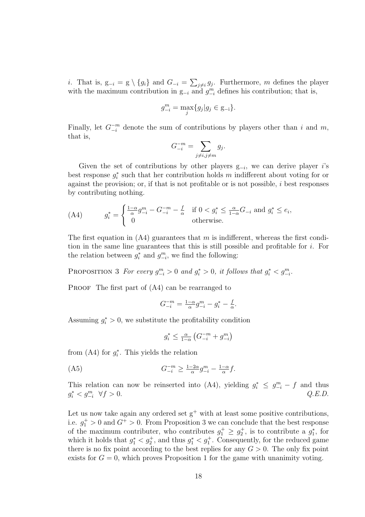i. That is,  $g_{-i} = g \setminus \{g_i\}$  and  $G_{-i} =$  $\overline{ }$  $_{j\neq i} g_j$ . Furthermore, m defines the player with the maximum contribution in  $g_{-i}$  and  $g_{-i}^m$  defines his contribution; that is,

$$
g_{-i}^m = \max_j \{ g_j | g_j \in \mathbf{g}_{-i} \}.
$$

Finally, let  $G_{-i}^{-m}$  denote the sum of contributions by players other than i and m, that is,  $\overline{\phantom{a}}$ 

$$
G_{-i}^{-m} = \sum_{j \neq i, j \neq m} g_j.
$$

Given the set of contributions by other players  $g_{-i}$ , we can derive player *i*'s best response  $g_i^*$  such that her contribution holds m indifferent about voting for or against the provision; or, if that is not profitable or is not possible, i best responses by contributing nothing.

(A4) 
$$
g_i^* = \begin{cases} \frac{1-\alpha}{\alpha}g_{-i}^m - G_{-i}^{-m} - \frac{f}{\alpha} & \text{if } 0 < g_i^* \le \frac{\alpha}{1-\alpha}G_{-i} \text{ and } g_i^* \le e_i, \\ 0 & \text{otherwise.} \end{cases}
$$

The first equation in  $(A4)$  guarantees that m is indifferent, whereas the first condition in the same line guarantees that this is still possible and profitable for  $i$ . For the relation between  $g_i^*$  and  $g_{-i}^m$ , we find the following:

PROPOSITION 3 For every  $g_{-i}^m > 0$  and  $g_i^* > 0$ , it follows that  $g_i^* < g_{-i}^m$ .

PROOF The first part of  $(A4)$  can be rearranged to

$$
G^{-m}_{-i}=\tfrac{1-\alpha}{\alpha}g^m_{-i}-g^*_i-\tfrac{f}{\alpha}.
$$

Assuming  $g_i^* > 0$ , we substitute the profitability condition

$$
g_i^* \leq \frac{\alpha}{1-\alpha} \left( G_{-i}^{-m} + g_{-i}^m \right)
$$

from  $(A4)$  for  $g_i^*$ . This yields the relation

$$
(A5) \tG_{-i}^{-m} \ge \frac{1-2\alpha}{\alpha} g_{-i}^m - \frac{1-\alpha}{\alpha} f.
$$

This relation can now be reinserted into (A4), yielding  $g_i^* \leq g_{-i}^m - f$  and thus  $g_i^* < g_{-i}^m \ \ \forall f > 0.$  Q.E.D.

Let us now take again any ordered set  $g^+$  with at least some positive contributions, i.e.  $g_1^+ > 0$  and  $G^+ > 0$ . From Proposition 3 we can conclude that the best response of the maximum contributer, who contributes  $g_1^+ \geq g_2^+$ , is to contribute a  $g_1^*$ , for which it holds that  $g_1^* < g_2^*$ , and thus  $g_1^* < g_1^*$ . Consequently, for the reduced game there is no fix point according to the best replies for any  $G > 0$ . The only fix point exists for  $G = 0$ , which proves Proposition 1 for the game with unanimity voting.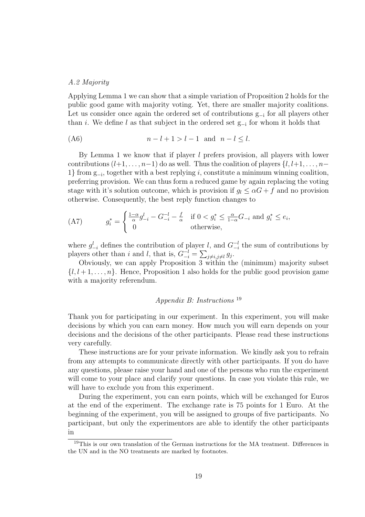#### A.2 Majority

Applying Lemma 1 we can show that a simple variation of Proposition 2 holds for the public good game with majority voting. Yet, there are smaller majority coalitions. Let us consider once again the ordered set of contributions g−<sup>i</sup> for all players other than *i*. We define l as that subject in the ordered set  $g_{-i}$  for whom it holds that

$$
(A6) \qquad \qquad n-l+1>l-1 \quad \text{and} \quad n-l \leq l.
$$

By Lemma 1 we know that if player  $l$  prefers provision, all players with lower contributions  $(l+1, \ldots, n-1)$  do as well. Thus the coalition of players  $\{l, l+1, \ldots, n-1\}$ 1} from g<sub>-i</sub>, together with a best replying *i*, constitute a minimum winning coalition, preferring provision. We can thus form a reduced game by again replacing the voting stage with it's solution outcome, which is provision if  $q_l \leq \alpha G + f$  and no provision otherwise. Consequently, the best reply function changes to

(A7) 
$$
g_i^* = \begin{cases} \frac{1-\alpha}{\alpha} g_{-i}^l - G_{-i}^{-l} - \frac{f}{\alpha} & \text{if } 0 < g_i^* \le \frac{\alpha}{1-\alpha} G_{-i} \text{ and } g_i^* \le e_i, \\ 0 & \text{otherwise,} \end{cases}
$$

where  $g_{-i}^l$  defines the contribution of player l, and  $G_{-i}^{-l}$  $\frac{-l}{-i}$  the sum of contributions by players other than i and l, that is,  $G_{-i}^{-l} =$  $\widetilde{E}$  $_{j\neq i,j\neq l} g_j.$ 

Obviously, we can apply Proposition 3 within the (minimum) majority subset  $\{l, l+1, \ldots, n\}$ . Hence, Proposition 1 also holds for the public good provision game with a majority referendum.

#### Appendix B: Instructions <sup>19</sup>

Thank you for participating in our experiment. In this experiment, you will make decisions by which you can earn money. How much you will earn depends on your decisions and the decisions of the other participants. Please read these instructions very carefully.

These instructions are for your private information. We kindly ask you to refrain from any attempts to communicate directly with other participants. If you do have any questions, please raise your hand and one of the persons who run the experiment will come to your place and clarify your questions. In case you violate this rule, we will have to exclude you from this experiment.

During the experiment, you can earn points, which will be exchanged for Euros at the end of the experiment. The exchange rate is 75 points for 1 Euro. At the beginning of the experiment, you will be assigned to groups of five participants. No participant, but only the experimentors are able to identify the other participants in

<sup>&</sup>lt;sup>19</sup>This is our own translation of the German instructions for the MA treatment. Differences in the UN and in the NO treatments are marked by footnotes.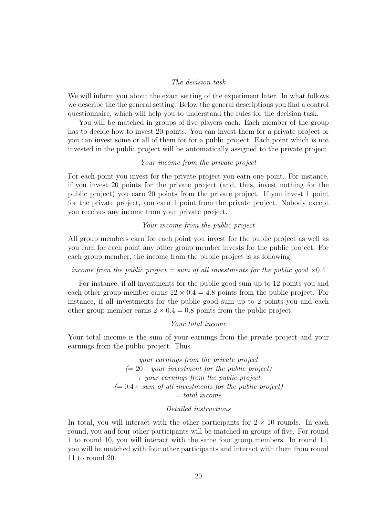#### The decision task

We will inform you about the exact setting of the experiment later. In what follows we describe the the general setting. Below the general descriptions you find a control questionnaire, which will help you to understand the rules for the decision task.

You will be matched in groups of five players each. Each member of the group has to decide how to invest 20 points. You can invest them for a private project or you can invest some or all of them for for a public project. Each point which is not invested in the public project will be automatically assigned to the private project.

#### Your income from the private project

For each point you invest for the private project you earn one point. For instance, if you invest 20 points for the private project (and, thus, invest nothing for the public project) you earn 20 points from the private project. If you invest 1 point for the private project, you earn 1 point from the private project. Nobody except you receives any income from your private project.

#### Your income from the public project

All group members earn for each point you invest for the public project as well as you earn for each point any other group member invests for the public project. For each group member, the income from the public project is as following:

#### income from the public project  $= sum$  of all investments for the public good  $\times 0.4$

For instance, if all investments for the public good sum up to 12 points you and each other group member earns  $12 \times 0.4 = 4.8$  points from the public project. For instance, if all investments for the public good sum up to 2 points you and each other group member earns  $2 \times 0.4 = 0.8$  points from the public project.

#### Your total income

Your total income is the sum of your earnings from the private project and your earnings from the public project. Thus

> your earnings from the private project  $(= 20 - your investment for the public project)$ + your earnings from the public project  $(= 0.4 \times \, \text{sum of all investments for the public project})$  $= total$  income

#### Detailed instructions

In total, you will interact with the other participants for  $2 \times 10$  rounds. In each round, you and four other participants will be matched in groups of five. For round 1 to round 10, you will interact with the same four group members. In round 11, you will be matched with four other participants and interact with them from round 11 to round 20.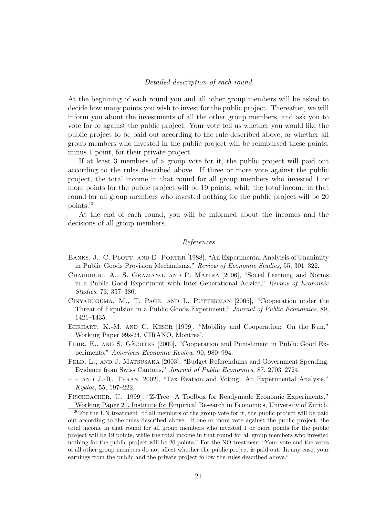#### Detailed description of each round

At the beginning of each round you and all other group members will be asked to decide how many points you wish to invest for the public project. Thereafter, we will inform you about the investments of all the other group members, and ask you to vote for or against the public project. Your vote tell us whether you would like the public project to be paid out according to the rule described above, or whether all group members who invested in the public project will be reimbursed these points, minus 1 point, for their private project.

If at least 3 members of a group vote for it, the public project will paid out according to the rules described above. If three or more vote against the public project, the total income in that round for all group members who invested 1 or more points for the public project will be 19 points, while the total income in that round for all group members who invested nothing for the public project will be 20 points.<sup>20</sup>

At the end of each round, you will be informed about the incomes and the decisions of all group members.

#### References

- BANKS, J., C. PLOTT, AND D. PORTER [1988], "An Experimental Analyisis of Unanimity in Public Goods Provision Mechanisms," Review of Economic Studies, 55, 301–322.
- Chaudhuri, A., S. Graziano, and P. Maitra [2006], "Social Learning and Norms in a Public Good Experiment with Inter-Generational Advice," Review of Economic Studies, 73, 357–380.
- Cinyabuguma, M., T. Page, and L. Putterman [2005], "Cooperation under the Threat of Expulsion in a Public Goods Experiment," Journal of Public Economics, 89, 1421–1435.
- EHRHART, K.-M. AND C. KESER [1999], "Mobility and Cooperation: On the Run," Working Paper 99s-24, CIRANO, Montreal.
- FEHR, E., AND S. GÄCHTER [2000], "Cooperation and Punishment in Public Good Experiments," American Economic Review, 90, 980–994.
- FELD, L., AND J. MATSUSAKA [2003], "Budget Referendums and Government Spending: Evidence from Swiss Cantons," Journal of Public Economics, 87, 2703–2724.
- – and J.-R. Tyran [2002], "Tax Evation and Voting: An Experimental Analysis," Kyklos, 55, 197–222.

Fischbacher, U. [1999], "Z-Tree: A Toolbox for Readymade Economic Experiments," Working Paper 21, Institute for Empirical Research in Economics, University of Zurich.

<sup>20</sup>For the UN treatment "If all members of the group vote for it, the public project will be paid out according to the rules described above. If one or more vote against the public project, the total income in that round for all group members who invested 1 or more points for the public project will be 19 points, while the total income in that round for all group members who invested nothing for the public project will be 20 points." For the NO treatment "Your vote and the votes of all other group members do not affect whether the public project is paid out. In any case, your earnings from the public and the private project follow the rules described above."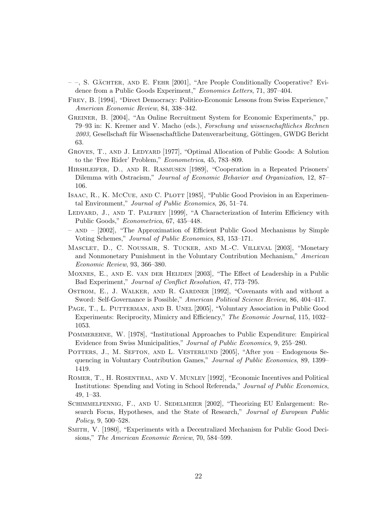- $-$ , S. GÄCHTER, AND E. FEHR [2001], "Are People Conditionally Cooperative? Evidence from a Public Goods Experiment," Economics Letters, 71, 397–404.
- Frey, B. [1994], "Direct Democracy: Politico-Economic Lessons from Swiss Experience," American Economic Review, 84, 338–342.
- Greiner, B. [2004], "An Online Recruitment System for Economic Experiments," pp. 79–93 in: K. Kremer and V. Macho (eds.), Forschung und wissenschaftliches Rechnen 2003, Gesellschaft für Wissenschaftliche Datenverarbeitung, Göttingen, GWDG Bericht 63.
- GROVES, T., AND J. LEDYARD [1977], "Optimal Allocation of Public Goods: A Solution to the 'Free Rider' Problem," Econometrica, 45, 783–809.
- Hirshleifer, D., and R. Rasmusen [1989], "Cooperation in a Repeated Prisoners' Dilemma with Ostracism," Journal of Economic Behavior and Organization, 12, 87– 106.
- ISAAC, R., K. MCCUE, AND C. PLOTT [1985], "Public Good Provision in an Experimental Environment," Journal of Public Economics, 26, 51–74.
- LEDYARD, J., AND T. PALFREY [1999], "A Characterization of Interim Efficiency with Public Goods," Econometrica, 67, 435–448.
- and [2002], "The Approximation of Efficient Public Good Mechanisms by Simple Voting Schemes," Journal of Public Economics, 83, 153–171.
- Masclet, D., C. Noussair, S. Tucker, and M.-C. Villeval [2003], "Monetary and Nonmonetary Punishment in the Voluntary Contribution Mechanism," American Economic Review, 93, 366–380.
- Moxnes, E., and E. van der Heijden [2003], "The Effect of Leadership in a Public Bad Experiment," Journal of Conflict Resolution, 47, 773–795.
- OSTROM, E., J. WALKER, AND R. GARDNER [1992], "Covenants with and without a Sword: Self-Governance is Possible," American Political Science Review, 86, 404–417.
- PAGE, T., L. PUTTERMAN, AND B. UNEL [2005], "Voluntary Association in Public Good Experiments: Reciprocity, Mimicry and Efficiency," The Economic Journal, 115, 1032– 1053.
- Pommerehne, W. [1978], "Institutional Approaches to Public Expenditure: Empirical Evidence from Swiss Municipalities," Journal of Public Economics, 9, 255–280.
- POTTERS, J., M. SEFTON, AND L. VESTERLUND [2005], "After you Endogenous Sequencing in Voluntary Contribution Games," Journal of Public Economics, 89, 1399– 1419.
- Romer, T., H. Rosenthal, and V. Munley [1992], "Economic Incentives and Political Institutions: Spending and Voting in School Referenda," Journal of Public Economics, 49, 1–33.
- Schimmelfennig, F., and U. Sedelmeier [2002], "Theorizing EU Enlargement: Research Focus, Hypotheses, and the State of Research," Journal of European Public Policy, 9, 500–528.
- Smith, V. [1980], "Experiments with a Decentralized Mechanism for Public Good Decisions," The American Economic Review, 70, 584–599.